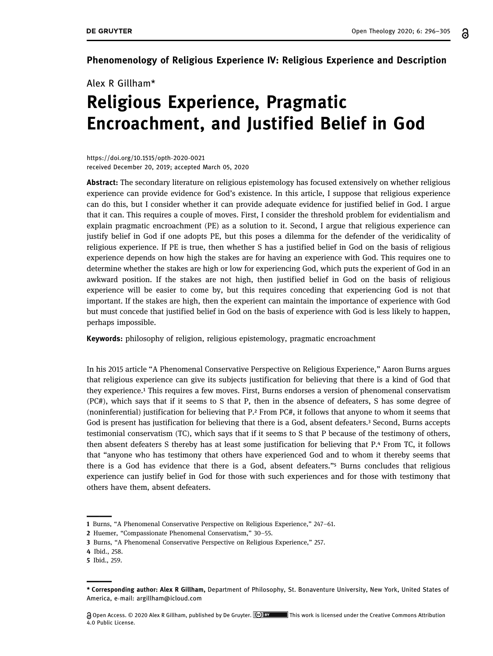Phenomenology of Religious Experience IV: Religious Experience and Description

Alex R Gillham\*

## Religious Experience, Pragmatic Encroachment, and Justified Belief in God

[https://doi.org/10.1515/opth](https://doi.org/10.1515/opth-2020-0021)-2020-0021 received December 20, 2019; accepted March 05, 2020

Abstract: The secondary literature on religious epistemology has focused extensively on whether religious experience can provide evidence for God's existence. In this article, I suppose that religious experience can do this, but I consider whether it can provide adequate evidence for justified belief in God. I argue that it can. This requires a couple of moves. First, I consider the threshold problem for evidentialism and explain pragmatic encroachment (PE) as a solution to it. Second, I argue that religious experience can justify belief in God if one adopts PE, but this poses a dilemma for the defender of the veridicality of religious experience. If PE is true, then whether S has a justified belief in God on the basis of religious experience depends on how high the stakes are for having an experience with God. This requires one to determine whether the stakes are high or low for experiencing God, which puts the experient of God in an awkward position. If the stakes are not high, then justified belief in God on the basis of religious experience will be easier to come by, but this requires conceding that experiencing God is not that important. If the stakes are high, then the experient can maintain the importance of experience with God but must concede that justified belief in God on the basis of experience with God is less likely to happen, perhaps impossible.

Keywords: philosophy of religion, religious epistemology, pragmatic encroachment

In his 2015 article "A Phenomenal Conservative Perspective on Religious Experience," Aaron Burns argues that religious experience can give its subjects justification for believing that there is a kind of God that they experience.<sup>1</sup> This requires a few moves. First, Burns endorses a version of phenomenal conservatism (PC#), which says that if it seems to S that P, then in the absence of defeaters, S has some degree of (noninferential) justification for believing that  $P^2$  From PC#, it follows that anyone to whom it seems that God is present has justification for believing that there is a God, absent defeaters.<sup>3</sup> Second, Burns accepts testimonial conservatism (TC), which says that if it seems to S that P because of the testimony of others, then absent defeaters S thereby has at least some justification for believing that P.4 From TC, it follows that "anyone who has testimony that others have experienced God and to whom it thereby seems that there is a God has evidence that there is a God, absent defeaters."<sup>5</sup> Burns concludes that religious experience can justify belief in God for those with such experiences and for those with testimony that others have them, absent defeaters.

<span id="page-0-0"></span>

<sup>1</sup> [Burns,](#page-8-0) "A Phenomenal Conservative Perspective on Religious Experience," 247–61.

<span id="page-0-1"></span><sup>2</sup> [Huemer](#page-8-1), "Compassionate Phenomenal Conservatism," 30–55.

<span id="page-0-2"></span><sup>3</sup> [Burns](#page-8-0), "A Phenomenal Conservative Perspective on Religious Experience," 257.

<span id="page-0-3"></span><sup>4</sup> Ibid., 258.

<span id="page-0-4"></span><sup>5</sup> Ibid., 259.

<sup>\*</sup> Corresponding author: Alex R Gillham, Department of Philosophy, St. Bonaventure University, New York, United States of America, e-mail: [argillham@icloud.com](mailto:argillham@icloud.com)

Open Access. © 2020 Alex R Gillham, published by De Gruyter. This work is licensed under the Creative Commons Attribution 4.0 Public License.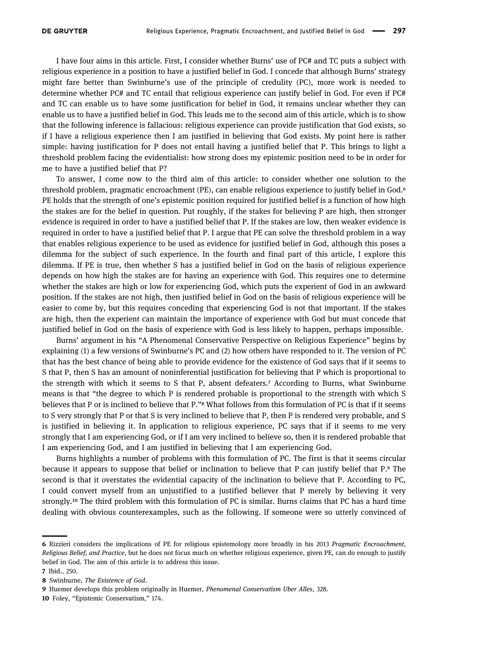I have four aims in this article. First, I consider whether Burns' use of PC# and TC puts a subject with religious experience in a position to have a justified belief in God. I concede that although Burns' strategy might fare better than Swinburne's use of the principle of credulity (PC), more work is needed to determine whether PC# and TC entail that religious experience can justify belief in God. For even if PC# and TC can enable us to have some justification for belief in God, it remains unclear whether they can enable us to have a justified belief in God. This leads me to the second aim of this article, which is to show that the following inference is fallacious: religious experience can provide justification that God exists, so if I have a religious experience then I am justified in believing that God exists. My point here is rather simple: having justification for P does not entail having a justified belief that P. This brings to light a threshold problem facing the evidentialist: how strong does my epistemic position need to be in order for me to have a justified belief that P?

To answer, I come now to the third aim of this article: to consider whether one solution to the threshold problem, pragmatic encroachment (PE), can enable religious experience to justify belief in God. PE holds that the strength of one's epistemic position required for justified belief is a function of how high the stakes are for the belief in question. Put roughly, if the stakes for believing P are high, then stronger evidence is required in order to have a justified belief that P. If the stakes are low, then weaker evidence is required in order to have a justified belief that P. I argue that PE can solve the threshold problem in a way that enables religious experience to be used as evidence for justified belief in God, although this poses a dilemma for the subject of such experience. In the fourth and final part of this article, I explore this dilemma. If PE is true, then whether S has a justified belief in God on the basis of religious experience depends on how high the stakes are for having an experience with God. This requires one to determine whether the stakes are high or low for experiencing God, which puts the experient of God in an awkward position. If the stakes are not high, then justified belief in God on the basis of religious experience will be easier to come by, but this requires conceding that experiencing God is not that important. If the stakes are high, then the experient can maintain the importance of experience with God but must concede that justified belief in God on the basis of experience with God is less likely to happen, perhaps impossible.

Burns' argument in his "A Phenomenal Conservative Perspective on Religious Experience" begins by explaining (1) a few versions of Swinburne's PC and (2) how others have responded to it. The version of PC that has the best chance of being able to provide evidence for the existence of God says that if it seems to S that P, then S has an amount of noninferential justification for believing that P which is proportional to the strength with which it seems to S that P, absent defeaters.<sup>7</sup> According to Burns, what Swinburne means is that "the degree to which P is rendered probable is proportional to the strength with which S believes that P or is inclined to believe that P."<sup>8</sup> What follows from this formulation of PC is that if it seems to S very strongly that P or that S is very inclined to believe that P, then P is rendered very probable, and S is justified in believing it. In application to religious experience, PC says that if it seems to me very strongly that I am experiencing God, or if I am very inclined to believe so, then it is rendered probable that I am experiencing God, and I am justified in believing that I am experiencing God.

Burns highlights a number of problems with this formulation of PC. The first is that it seems circular because it appears to suppose that belief or inclination to believe that  $P$  can justify belief that  $P$ . The second is that it overstates the evidential capacity of the inclination to believe that P. According to PC, I could convert myself from an unjustified to a justified believer that P merely by believing it very strongly.<sup>10</sup> The third problem with this formulation of PC is similar. Burns claims that PC has a hard time dealing with obvious counterexamples, such as the following. If someone were so utterly convinced of

<span id="page-1-0"></span><sup>6</sup> [Rizzieri](#page-9-0) considers the implications of PE for religious epistemology more broadly in his 2013 Pragmatic Encroachment, Religious Belief, and Practice, but he does not focus much on whether religious experience, given PE, can do enough to justify belief in God. The aim of this article is to address this issue.

<span id="page-1-1"></span><sup>7</sup> Ibid., 250.

<span id="page-1-2"></span><sup>8</sup> Swinburne, The Existence of God.

<span id="page-1-3"></span><sup>9</sup> Huemer develops this problem originally in [Huemer](#page-8-2), Phenomenal Conservatism Uber Alles, 328.

<span id="page-1-4"></span><sup>10</sup> [Foley](#page-8-3), "Epistemic Conservatism," 174.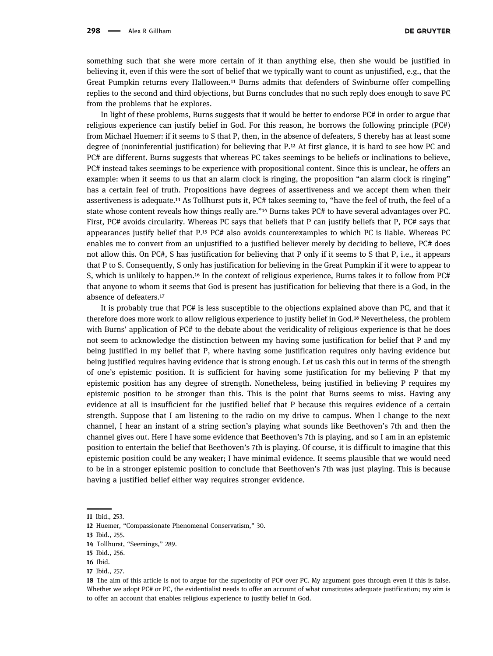something such that she were more certain of it than anything else, then she would be justified in believing it, even if this were the sort of belief that we typically want to count as unjustified, e.g., that the Great Pumpkin returns every Halloween.<sup>11</sup> Burns admits that defenders of Swinburne offer compelling replies to the second and third objections, but Burns concludes that no such reply does enough to save PC from the problems that he explores.

In light of these problems, Burns suggests that it would be better to endorse PC# in order to argue that religious experience can justify belief in God. For this reason, he borrows the following principle (PC#) from Michael Huemer: if it seems to S that P, then, in the absence of defeaters, S thereby has at least some degree of (noninferential justification) for believing that P.<sup>12</sup> At first glance, it is hard to see how PC and PC# are different. Burns suggests that whereas PC takes seemings to be beliefs or inclinations to believe, PC# instead takes seemings to be experience with propositional content. Since this is unclear, he offers an example: when it seems to us that an alarm clock is ringing, the proposition "an alarm clock is ringing" has a certain feel of truth. Propositions have degrees of assertiveness and we accept them when their assertiveness is adequate.<sup>13</sup> As Tollhurst puts it, PC# takes seeming to, "have the feel of truth, the feel of a state whose content reveals how things really are."<sup>14</sup> Burns takes PC# to have several advantages over PC. First, PC# avoids circularity. Whereas PC says that beliefs that P can justify beliefs that P, PC# says that appearances justify belief that  $P<sup>15</sup> PC#$  also avoids counterexamples to which PC is liable. Whereas PC enables me to convert from an unjustified to a justified believer merely by deciding to believe, PC# does not allow this. On PC#, S has justification for believing that P only if it seems to S that P, i.e., it appears that P to S. Consequently, S only has justification for believing in the Great Pumpkin if it were to appear to S, which is unlikely to happen.<sup>16</sup> In the context of religious experience, Burns takes it to follow from PC# that anyone to whom it seems that God is present has justification for believing that there is a God, in the absence of defeaters.

It is probably true that PC# is less susceptible to the objections explained above than PC, and that it therefore does more work to allow religious experience to justify belief in God.<sup>18</sup> Nevertheless, the problem with Burns' application of PC# to the debate about the veridicality of religious experience is that he does not seem to acknowledge the distinction between my having some justification for belief that P and my being justified in my belief that P, where having some justification requires only having evidence but being justified requires having evidence that is strong enough. Let us cash this out in terms of the strength of one's epistemic position. It is sufficient for having some justification for my believing P that my epistemic position has any degree of strength. Nonetheless, being justified in believing P requires my epistemic position to be stronger than this. This is the point that Burns seems to miss. Having any evidence at all is insufficient for the justified belief that P because this requires evidence of a certain strength. Suppose that I am listening to the radio on my drive to campus. When I change to the next channel, I hear an instant of a string section's playing what sounds like Beethoven's 7th and then the channel gives out. Here I have some evidence that Beethoven's 7th is playing, and so I am in an epistemic position to entertain the belief that Beethoven's 7th is playing. Of course, it is difficult to imagine that this epistemic position could be any weaker; I have minimal evidence. It seems plausible that we would need to be in a stronger epistemic position to conclude that Beethoven's 7th was just playing. This is because having a justified belief either way requires stronger evidence.

<span id="page-2-0"></span><sup>11</sup> Ibid., 253.

<span id="page-2-1"></span><sup>12</sup> [Huemer,](#page-8-2) "Compassionate Phenomenal Conservatism," 30.

<span id="page-2-2"></span><sup>13</sup> Ibid., 255.

<span id="page-2-3"></span><sup>14</sup> [Tollhurst,](#page-9-1) "Seemings," 289.

<span id="page-2-4"></span><sup>15</sup> Ibid., 256.

<span id="page-2-5"></span><sup>16</sup> Ibid.

<span id="page-2-6"></span><sup>17</sup> Ibid., 257.

<span id="page-2-7"></span><sup>18</sup> The aim of this article is not to argue for the superiority of PC# over PC. My argument goes through even if this is false. Whether we adopt PC# or PC, the evidentialist needs to offer an account of what constitutes adequate justification; my aim is to offer an account that enables religious experience to justify belief in God.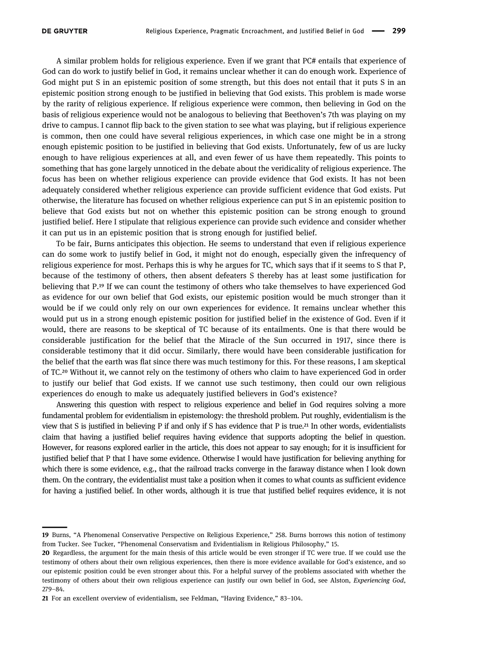<span id="page-3-0"></span>

A similar problem holds for religious experience. Even if we grant that PC# entails that experience of God can do work to justify belief in God, it remains unclear whether it can do enough work. Experience of God might put S in an epistemic position of some strength, but this does not entail that it puts S in an epistemic position strong enough to be justified in believing that God exists. This problem is made worse by the rarity of religious experience. If religious experience were common, then believing in God on the basis of religious experience would not be analogous to believing that Beethoven's 7th was playing on my drive to campus. I cannot flip back to the given station to see what was playing, but if religious experience is common, then one could have several religious experiences, in which case one might be in a strong enough epistemic position to be justified in believing that God exists. Unfortunately, few of us are lucky enough to have religious experiences at all, and even fewer of us have them repeatedly. This points to something that has gone largely unnoticed in the debate about the veridicality of religious experience. The focus has been on whether religious experience can provide evidence that God exists. It has not been adequately considered whether religious experience can provide sufficient evidence that God exists. Put otherwise, the literature has focused on whether religious experience can put S in an epistemic position to believe that God exists but not on whether this epistemic position can be strong enough to ground justified belief. Here I stipulate that religious experience can provide such evidence and consider whether it can put us in an epistemic position that is strong enough for justified belief.

To be fair, Burns anticipates this objection. He seems to understand that even if religious experience can do some work to justify belief in God, it might not do enough, especially given the infrequency of religious experience for most. Perhaps this is why he argues for TC, which says that if it seems to S that P, because of the testimony of others, then absent defeaters S thereby has at least some justification for believing that P.<sup>19</sup> If we can count the testimony of others who take themselves to have experienced God as evidence for our own belief that God exists, our epistemic position would be much stronger than it would be if we could only rely on our own experiences for evidence. It remains unclear whether this would put us in a strong enough epistemic position for justified belief in the existence of God. Even if it would, there are reasons to be skeptical of TC because of its entailments. One is that there would be considerable justification for the belief that the Miracle of the Sun occurred in 1917, since there is considerable testimony that it did occur. Similarly, there would have been considerable justification for the belief that the earth was flat since there was much testimony for this. For these reasons, I am skeptical of TC.<sup>20</sup> Without it, we cannot rely on the testimony of others who claim to have experienced God in order to justify our belief that God exists. If we cannot use such testimony, then could our own religious experiences do enough to make us adequately justified believers in God's existence?

Answering this question with respect to religious experience and belief in God requires solving a more fundamental problem for evidentialism in epistemology: the threshold problem. Put roughly, evidentialism is the view that S is justified in believing P if and only if S has evidence that P is true. In other words, evidentialists claim that having a justified belief requires having evidence that supports adopting the belief in question. However, for reasons explored earlier in the article, this does not appear to say enough; for it is insufficient for justified belief that P that I have some evidence. Otherwise I would have justification for believing anything for which there is some evidence, e.g., that the railroad tracks converge in the faraway distance when I look down them. On the contrary, the evidentialist must take a position when it comes to what counts as sufficient evidence for having a justified belief. In other words, although it is true that justified belief requires evidence, it is not

<sup>19</sup> [Burns](#page-8-0), "A Phenomenal Conservative Perspective on Religious Experience," 258. Burns borrows this notion of testimony from Tucker. See [Tucker](#page-9-2), "Phenomenal Conservatism and Evidentialism in Religious Philosophy," 15.

<span id="page-3-1"></span><sup>20</sup> Regardless, the argument for the main thesis of this article would be even stronger if TC were true. If we could use the testimony of others about their own religious experiences, then there is more evidence available for God's existence, and so our epistemic position could be even stronger about this. For a helpful survey of the problems associated with whether the testimony of others about their own religious experience can justify our own belief in God, see [Alston,](#page-8-4) Experiencing God, 279–84.

<span id="page-3-2"></span><sup>21</sup> For an excellent overview of evidentialism, see [Feldman,](#page-8-5) "Having Evidence," 83–104.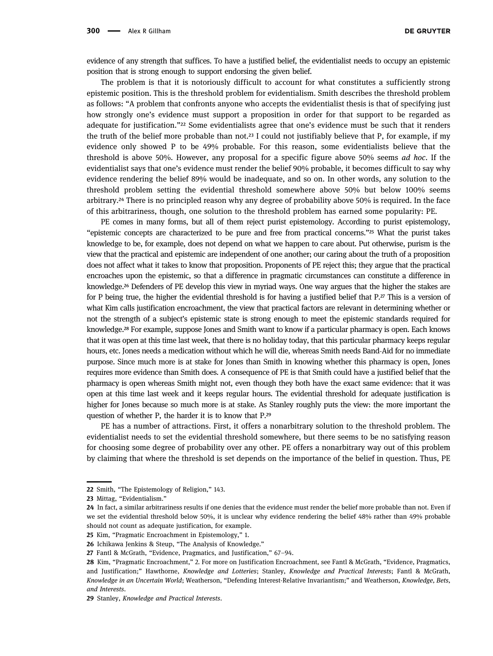evidence of any strength that suffices. To have a justified belief, the evidentialist needs to occupy an epistemic position that is strong enough to support endorsing the given belief.

The problem is that it is notoriously difficult to account for what constitutes a sufficiently strong epistemic position. This is the threshold problem for evidentialism. Smith describes the threshold problem as follows: "A problem that confronts anyone who accepts the evidentialist thesis is that of specifying just how strongly one's evidence must support a proposition in order for that support to be regarded as adequate for justification."<sup>22</sup> Some evidentialists agree that one's evidence must be such that it renders the truth of the belief more probable than not.<sup>23</sup> I could not justifiably believe that P, for example, if my evidence only showed P to be 49% probable. For this reason, some evidentialists believe that the threshold is above 50%. However, any proposal for a specific figure above 50% seems ad hoc. If the evidentialist says that one's evidence must render the belief 90% probable, it becomes difficult to say why evidence rendering the belief 89% would be inadequate, and so on. In other words, any solution to the threshold problem setting the evidential threshold somewhere above 50% but below 100% seems arbitrary. There is no principled reason why any degree of probability above 50% is required. In the face of this arbitrariness, though, one solution to the threshold problem has earned some popularity: PE.

PE comes in many forms, but all of them reject purist epistemology. According to purist epistemology, "epistemic concepts are characterized to be pure and free from practical concerns."<sup>25</sup> What the purist takes knowledge to be, for example, does not depend on what we happen to care about. Put otherwise, purism is the view that the practical and epistemic are independent of one another; our caring about the truth of a proposition does not affect what it takes to know that proposition. Proponents of PE reject this; they argue that the practical encroaches upon the epistemic, so that a difference in pragmatic circumstances can constitute a difference in knowledge.<sup>26</sup> Defenders of PE develop this view in myriad ways. One way argues that the higher the stakes are for P being true, the higher the evidential threshold is for having a justified belief that  $P^{\alpha}$ . This is a version of what Kim calls justification encroachment, the view that practical factors are relevant in determining whether or not the strength of a subject's epistemic state is strong enough to meet the epistemic standards required for knowledge.<sup>28</sup> For example, suppose Jones and Smith want to know if a particular pharmacy is open. Each knows that it was open at this time last week, that there is no holiday today, that this particular pharmacy keeps regular hours, etc. Jones needs a medication without which he will die, whereas Smith needs Band-Aid for no immediate purpose. Since much more is at stake for Jones than Smith in knowing whether this pharmacy is open, Jones requires more evidence than Smith does. A consequence of PE is that Smith could have a justified belief that the pharmacy is open whereas Smith might not, even though they both have the exact same evidence: that it was open at this time last week and it keeps regular hours. The evidential threshold for adequate justification is higher for Jones because so much more is at stake. As Stanley roughly puts the view: the more important the question of whether P, the harder it is to know that P.

PE has a number of attractions. First, it offers a nonarbitrary solution to the threshold problem. The evidentialist needs to set the evidential threshold somewhere, but there seems to be no satisfying reason for choosing some degree of probability over any other. PE offers a nonarbitrary way out of this problem by claiming that where the threshold is set depends on the importance of the belief in question. Thus, PE

<span id="page-4-0"></span><sup>22</sup> [Smith](#page-9-3), "The Epistemology of Religion," 143.

<span id="page-4-1"></span><sup>23</sup> [Mittag,](#page-9-4) "Evidentialism."

<span id="page-4-2"></span><sup>24</sup> In fact, a similar arbitrariness results if one denies that the evidence must render the belief more probable than not. Even if we set the evidential threshold below 50%, it is unclear why evidence rendering the belief 48% rather than 49% probable should not count as adequate justification, for example.

<span id="page-4-3"></span><sup>25</sup> [Kim,](#page-8-6) "Pragmatic Encroachment in Epistemology," 1.

<span id="page-4-4"></span><sup>26</sup> [Ichikawa](#page-8-7) Jenkins & Steup, "The Analysis of Knowledge."

<span id="page-4-5"></span><sup>27</sup> [Fantl](#page-8-8) & McGrath, "Evidence, Pragmatics, and Justification," 67–94.

<span id="page-4-6"></span><sup>28</sup> [Kim](#page-8-6), "Pragmatic Encroachment," 2. For more on Justification Encroachment, see [Fantl & McGrath,](#page-8-8) "Evidence, Pragmatics, and Justification;" [Hawthorne,](#page-8-9) Knowledge and Lotteries; [Stanley,](#page-9-5) Knowledge and Practical Interests; [Fantl & McGrath,](#page-8-10) Knowledge in an Uncertain World; [Weatherson](#page-9-6), "Defending Interest‐Relative Invariantism;" and [Weatherson](#page-9-7), Knowledge, Bets, and Interests.

<span id="page-4-7"></span><sup>29</sup> [Stanley](#page-9-5), Knowledge and Practical Interests.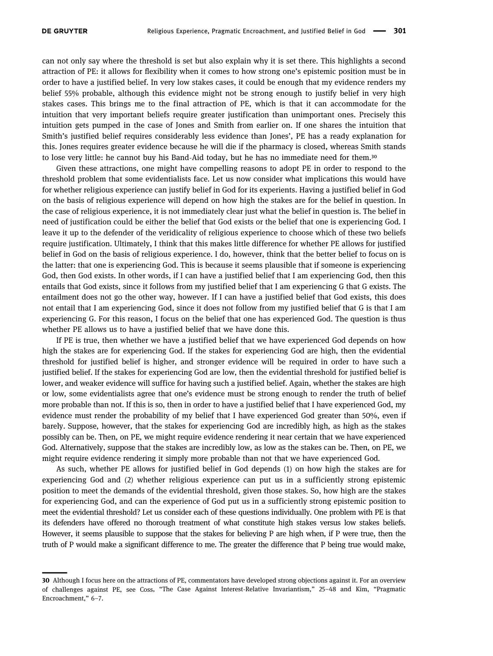<span id="page-5-0"></span>

can not only say where the threshold is set but also explain why it is set there. This highlights a second attraction of PE: it allows for flexibility when it comes to how strong one's epistemic position must be in order to have a justified belief. In very low stakes cases, it could be enough that my evidence renders my belief 55% probable, although this evidence might not be strong enough to justify belief in very high stakes cases. This brings me to the final attraction of PE, which is that it can accommodate for the intuition that very important beliefs require greater justification than unimportant ones. Precisely this intuition gets pumped in the case of Jones and Smith from earlier on. If one shares the intuition that Smith's justified belief requires considerably less evidence than Jones', PE has a ready explanation for this. Jones requires greater evidence because he will die if the pharmacy is closed, whereas Smith stands to lose very little: he cannot buy his Band-Aid today, but he has no immediate need for them.

Given these attractions, one might have compelling reasons to adopt PE in order to respond to the threshold problem that some evidentialists face. Let us now consider what implications this would have for whether religious experience can justify belief in God for its experients. Having a justified belief in God on the basis of religious experience will depend on how high the stakes are for the belief in question. In the case of religious experience, it is not immediately clear just what the belief in question is. The belief in need of justification could be either the belief that God exists or the belief that one is experiencing God. I leave it up to the defender of the veridicality of religious experience to choose which of these two beliefs require justification. Ultimately, I think that this makes little difference for whether PE allows for justified belief in God on the basis of religious experience. I do, however, think that the better belief to focus on is the latter: that one is experiencing God. This is because it seems plausible that if someone is experiencing God, then God exists. In other words, if I can have a justified belief that I am experiencing God, then this entails that God exists, since it follows from my justified belief that I am experiencing G that G exists. The entailment does not go the other way, however. If I can have a justified belief that God exists, this does not entail that I am experiencing God, since it does not follow from my justified belief that G is that I am experiencing G. For this reason, I focus on the belief that one has experienced God. The question is thus whether PE allows us to have a justified belief that we have done this.

If PE is true, then whether we have a justified belief that we have experienced God depends on how high the stakes are for experiencing God. If the stakes for experiencing God are high, then the evidential threshold for justified belief is higher, and stronger evidence will be required in order to have such a justified belief. If the stakes for experiencing God are low, then the evidential threshold for justified belief is lower, and weaker evidence will suffice for having such a justified belief. Again, whether the stakes are high or low, some evidentialists agree that one's evidence must be strong enough to render the truth of belief more probable than not. If this is so, then in order to have a justified belief that I have experienced God, my evidence must render the probability of my belief that I have experienced God greater than 50%, even if barely. Suppose, however, that the stakes for experiencing God are incredibly high, as high as the stakes possibly can be. Then, on PE, we might require evidence rendering it near certain that we have experienced God. Alternatively, suppose that the stakes are incredibly low, as low as the stakes can be. Then, on PE, we might require evidence rendering it simply more probable than not that we have experienced God.

As such, whether PE allows for justified belief in God depends (1) on how high the stakes are for experiencing God and (2) whether religious experience can put us in a sufficiently strong epistemic position to meet the demands of the evidential threshold, given those stakes. So, how high are the stakes for experiencing God, and can the experience of God put us in a sufficiently strong epistemic position to meet the evidential threshold? Let us consider each of these questions individually. One problem with PE is that its defenders have offered no thorough treatment of what constitute high stakes versus low stakes beliefs. However, it seems plausible to suppose that the stakes for believing P are high when, if P were true, then the truth of P would make a significant difference to me. The greater the difference that P being true would make,

<sup>30</sup> Although I focus here on the attractions of PE, commentators have developed strong objections against it. For an overview of challenges against PE, see [Coss,](#page-8-11) "The Case Against Interest-Relative Invariantism," 25–48 and [Kim,](#page-9-8) "Pragmatic Encroachment," 6–7.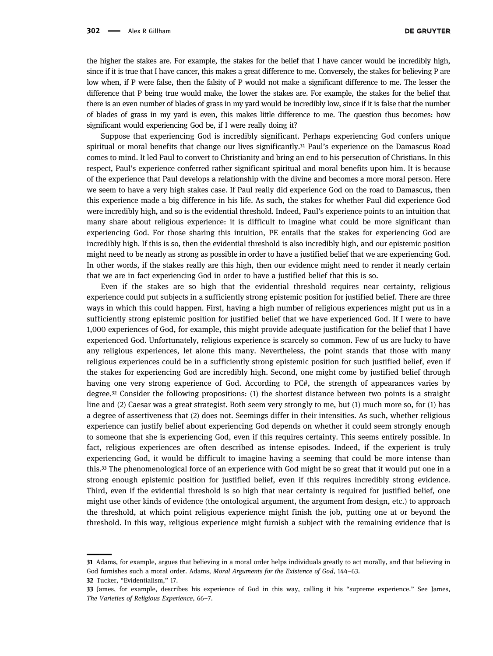the higher the stakes are. For example, the stakes for the belief that I have cancer would be incredibly high, since if it is true that I have cancer, this makes a great difference to me. Conversely, the stakes for believing P are low when, if P were false, then the falsity of P would not make a significant difference to me. The lesser the difference that P being true would make, the lower the stakes are. For example, the stakes for the belief that there is an even number of blades of grass in my yard would be incredibly low, since if it is false that the number of blades of grass in my yard is even, this makes little difference to me. The question thus becomes: how significant would experiencing God be, if I were really doing it?

Suppose that experiencing God is incredibly significant. Perhaps experiencing God confers unique spiritual or moral benefits that change our lives significantly.<sup>31</sup> Paul's experience on the Damascus Road comes to mind. It led Paul to convert to Christianity and bring an end to his persecution of Christians. In this respect, Paul's experience conferred rather significant spiritual and moral benefits upon him. It is because of the experience that Paul develops a relationship with the divine and becomes a more moral person. Here we seem to have a very high stakes case. If Paul really did experience God on the road to Damascus, then this experience made a big difference in his life. As such, the stakes for whether Paul did experience God were incredibly high, and so is the evidential threshold. Indeed, Paul's experience points to an intuition that many share about religious experience: it is difficult to imagine what could be more significant than experiencing God. For those sharing this intuition, PE entails that the stakes for experiencing God are incredibly high. If this is so, then the evidential threshold is also incredibly high, and our epistemic position might need to be nearly as strong as possible in order to have a justified belief that we are experiencing God. In other words, if the stakes really are this high, then our evidence might need to render it nearly certain that we are in fact experiencing God in order to have a justified belief that this is so.

Even if the stakes are so high that the evidential threshold requires near certainty, religious experience could put subjects in a sufficiently strong epistemic position for justified belief. There are three ways in which this could happen. First, having a high number of religious experiences might put us in a sufficiently strong epistemic position for justified belief that we have experienced God. If I were to have 1,000 experiences of God, for example, this might provide adequate justification for the belief that I have experienced God. Unfortunately, religious experience is scarcely so common. Few of us are lucky to have any religious experiences, let alone this many. Nevertheless, the point stands that those with many religious experiences could be in a sufficiently strong epistemic position for such justified belief, even if the stakes for experiencing God are incredibly high. Second, one might come by justified belief through having one very strong experience of God. According to PC#, the strength of appearances varies by degree.<sup>32</sup> Consider the following propositions: (1) the shortest distance between two points is a straight line and (2) Caesar was a great strategist. Both seem very strongly to me, but (1) much more so, for (1) has a degree of assertiveness that (2) does not. Seemings differ in their intensities. As such, whether religious experience can justify belief about experiencing God depends on whether it could seem strongly enough to someone that she is experiencing God, even if this requires certainty. This seems entirely possible. In fact, religious experiences are often described as intense episodes. Indeed, if the experient is truly experiencing God, it would be difficult to imagine having a seeming that could be more intense than this. The phenomenological force of an experience with God might be so great that it would put one in a strong enough epistemic position for justified belief, even if this requires incredibly strong evidence. Third, even if the evidential threshold is so high that near certainty is required for justified belief, one might use other kinds of evidence (the ontological argument, the argument from design, etc.) to approach the threshold, at which point religious experience might finish the job, putting one at or beyond the threshold. In this way, religious experience might furnish a subject with the remaining evidence that is

<span id="page-6-0"></span><sup>31</sup> Adams, for example, argues that believing in a moral order helps individuals greatly to act morally, and that believing in God furnishes such a moral order. [Adams,](#page-8-12) Moral Arguments for the Existence of God, 144–63.

<span id="page-6-1"></span><sup>32</sup> [Tucker,](#page-9-2) "Evidentialism," 17.

<span id="page-6-2"></span><sup>33</sup> James, for example, describes his experience of God in this way, calling it his "supreme experience." See [James,](#page-8-13) The Varieties of Religious Experience, 66–7.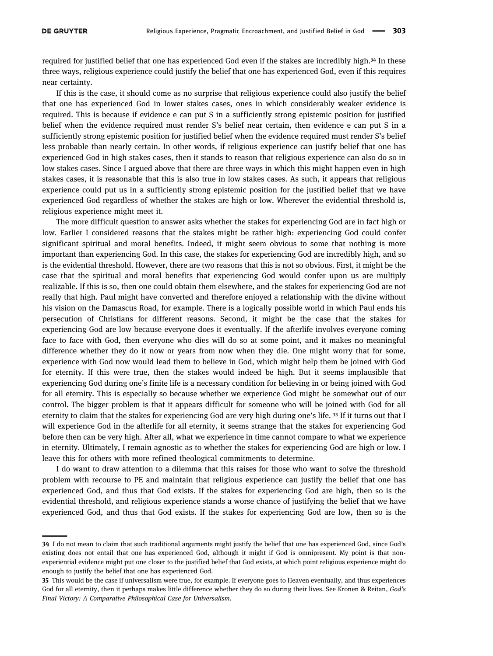<span id="page-7-0"></span>

required for justified belief that one has experienced God even if the stakes are incredibly high.<sup>34</sup> In these three ways, religious experience could justify the belief that one has experienced God, even if this requires near certainty.

If this is the case, it should come as no surprise that religious experience could also justify the belief that one has experienced God in lower stakes cases, ones in which considerably weaker evidence is required. This is because if evidence e can put S in a sufficiently strong epistemic position for justified belief when the evidence required must render S's belief near certain, then evidence e can put S in a sufficiently strong epistemic position for justified belief when the evidence required must render S's belief less probable than nearly certain. In other words, if religious experience can justify belief that one has experienced God in high stakes cases, then it stands to reason that religious experience can also do so in low stakes cases. Since I argued above that there are three ways in which this might happen even in high stakes cases, it is reasonable that this is also true in low stakes cases. As such, it appears that religious experience could put us in a sufficiently strong epistemic position for the justified belief that we have experienced God regardless of whether the stakes are high or low. Wherever the evidential threshold is, religious experience might meet it.

The more difficult question to answer asks whether the stakes for experiencing God are in fact high or low. Earlier I considered reasons that the stakes might be rather high: experiencing God could confer significant spiritual and moral benefits. Indeed, it might seem obvious to some that nothing is more important than experiencing God. In this case, the stakes for experiencing God are incredibly high, and so is the evidential threshold. However, there are two reasons that this is not so obvious. First, it might be the case that the spiritual and moral benefits that experiencing God would confer upon us are multiply realizable. If this is so, then one could obtain them elsewhere, and the stakes for experiencing God are not really that high. Paul might have converted and therefore enjoyed a relationship with the divine without his vision on the Damascus Road, for example. There is a logically possible world in which Paul ends his persecution of Christians for different reasons. Second, it might be the case that the stakes for experiencing God are low because everyone does it eventually. If the afterlife involves everyone coming face to face with God, then everyone who dies will do so at some point, and it makes no meaningful difference whether they do it now or years from now when they die. One might worry that for some, experience with God now would lead them to believe in God, which might help them be joined with God for eternity. If this were true, then the stakes would indeed be high. But it seems implausible that experiencing God during one's finite life is a necessary condition for believing in or being joined with God for all eternity. This is especially so because whether we experience God might be somewhat out of our control. The bigger problem is that it appears difficult for someone who will be joined with God for all eternity to claim that the stakes for experiencing God are very high during one's life. <sup>35</sup> If it turns out that I will experience God in the afterlife for all eternity, it seems strange that the stakes for experiencing God before then can be very high. After all, what we experience in time cannot compare to what we experience in eternity. Ultimately, I remain agnostic as to whether the stakes for experiencing God are high or low. I leave this for others with more refined theological commitments to determine.

I do want to draw attention to a dilemma that this raises for those who want to solve the threshold problem with recourse to PE and maintain that religious experience can justify the belief that one has experienced God, and thus that God exists. If the stakes for experiencing God are high, then so is the evidential threshold, and religious experience stands a worse chance of justifying the belief that we have experienced God, and thus that God exists. If the stakes for experiencing God are low, then so is the

<sup>34</sup> I do not mean to claim that such traditional arguments might justify the belief that one has experienced God, since God's existing does not entail that one has experienced God, although it might if God is omnipresent. My point is that nonexperiential evidence might put one closer to the justified belief that God exists, at which point religious experience might do enough to justify the belief that one has experienced God.

<span id="page-7-1"></span><sup>35</sup> This would be the case if universalism were true, for example. If everyone goes to Heaven eventually, and thus experiences God for all eternity, then it perhaps makes little difference whether they do so during their lives. See [Kronen](#page-9-8) & Reitan, God's Final Victory: A Comparative Philosophical Case for Universalism.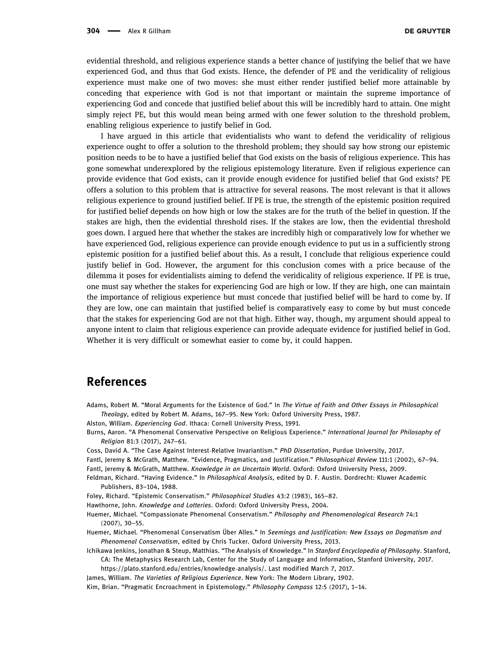evidential threshold, and religious experience stands a better chance of justifying the belief that we have experienced God, and thus that God exists. Hence, the defender of PE and the veridicality of religious experience must make one of two moves: she must either render justified belief more attainable by conceding that experience with God is not that important or maintain the supreme importance of experiencing God and concede that justified belief about this will be incredibly hard to attain. One might simply reject PE, but this would mean being armed with one fewer solution to the threshold problem, enabling religious experience to justify belief in God.

I have argued in this article that evidentialists who want to defend the veridicality of religious experience ought to offer a solution to the threshold problem; they should say how strong our epistemic position needs to be to have a justified belief that God exists on the basis of religious experience. This has gone somewhat underexplored by the religious epistemology literature. Even if religious experience can provide evidence that God exists, can it provide enough evidence for justified belief that God exists? PE offers a solution to this problem that is attractive for several reasons. The most relevant is that it allows religious experience to ground justified belief. If PE is true, the strength of the epistemic position required for justified belief depends on how high or low the stakes are for the truth of the belief in question. If the stakes are high, then the evidential threshold rises. If the stakes are low, then the evidential threshold goes down. I argued here that whether the stakes are incredibly high or comparatively low for whether we have experienced God, religious experience can provide enough evidence to put us in a sufficiently strong epistemic position for a justified belief about this. As a result, I conclude that religious experience could justify belief in God. However, the argument for this conclusion comes with a price because of the dilemma it poses for evidentialists aiming to defend the veridicality of religious experience. If PE is true, one must say whether the stakes for experiencing God are high or low. If they are high, one can maintain the importance of religious experience but must concede that justified belief will be hard to come by. If they are low, one can maintain that justified belief is comparatively easy to come by but must concede that the stakes for experiencing God are not that high. Either way, though, my argument should appeal to anyone intent to claim that religious experience can provide adequate evidence for justified belief in God. Whether it is very difficult or somewhat easier to come by, it could happen.

## References

<span id="page-8-12"></span>Adams, Robert M. "Moral Arguments for the Existence of God." In The Virtue of Faith and Other Essays in Philosophical Theology, edited by Robert M. Adams, 167–95. New York: Oxford University Press, 1987.

<span id="page-8-4"></span>Alston, William. Experiencing God. Ithaca: Cornell University Press, 1991.

- <span id="page-8-0"></span>Burns, Aaron. "A Phenomenal Conservative Perspective on Religious Experience." International Journal for Philosophy of Religion 81:3 (2017), 247–61.
- <span id="page-8-11"></span>Coss, David A. "The Case Against Interest-Relative Invariantism." PhD Dissertation, Purdue University, 2017.
- <span id="page-8-10"></span><span id="page-8-8"></span>Fantl, Jeremy & McGrath, Matthew. "Evidence, Pragmatics, and Justification." Philosophical Review 111:1 (2002), 67–94. Fantl, Jeremy & McGrath, Matthew. Knowledge in an Uncertain World. Oxford: Oxford University Press, 2009.
- <span id="page-8-5"></span>Feldman, Richard. "Having Evidence." In Philosophical Analysis, edited by D. F. Austin. Dordrecht: Kluwer Academic Publishers, 83–104, 1988.
- <span id="page-8-3"></span>Foley, Richard. "Epistemic Conservatism." Philosophical Studies 43:2 (1983), 165–82.
- <span id="page-8-9"></span>Hawthorne, John. Knowledge and Lotteries. Oxford: Oxford University Press, 2004.
- <span id="page-8-1"></span>Huemer, Michael. "Compassionate Phenomenal Conservatism." Philosophy and Phenomenological Research 74:1 (2007), 30–55.
- <span id="page-8-2"></span>Huemer, Michael. "Phenomenal Conservatism Über Alles." In Seemings and Justification: New Essays on Dogmatism and Phenomenal Conservatism, edited by Chris Tucker. Oxford University Press, 2013.
- <span id="page-8-7"></span>Ichikawa Jenkins, Jonathan & Steup, Matthias. "The Analysis of Knowledge." In Stanford Encyclopedia of Philosophy. Stanford, CA: The Metaphysics Research Lab, Center for the Study of Language and Information, Stanford University, 2017. [https://plato.stanford.edu/entries/knowledge](https://plato.stanford.edu/entries/knowledge-analysis/)-analysis/. Last modified March 7, 2017.

<span id="page-8-13"></span>James, William. The Varieties of Religious Experience. New York: The Modern Library, 1902.

<span id="page-8-6"></span>Kim, Brian. "Pragmatic Encroachment in Epistemology." Philosophy Compass 12:5 (2017), 1–14.